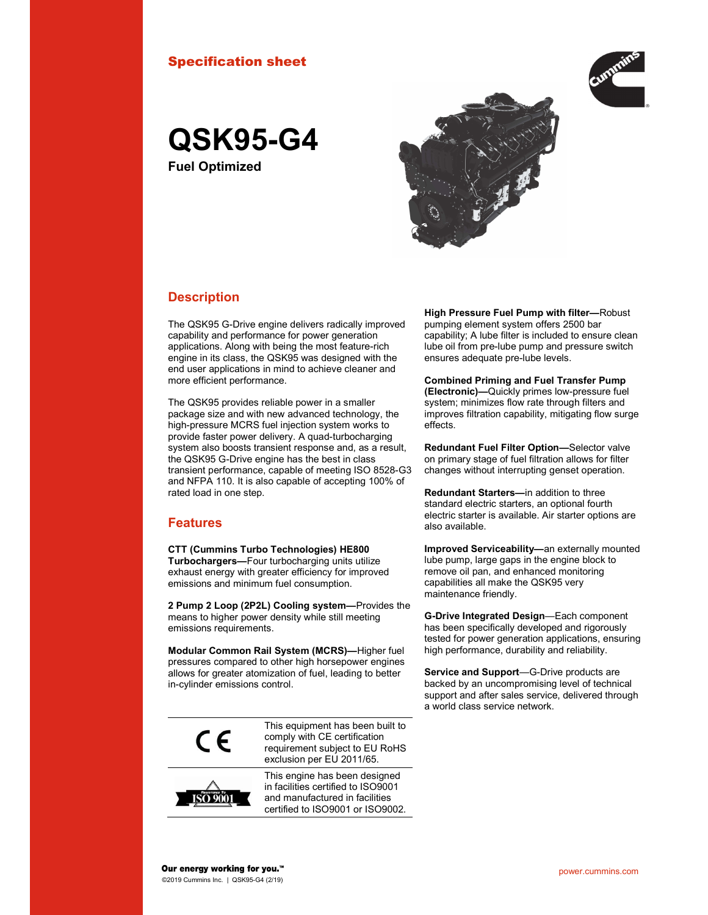## Specification sheet



# QSK95-G4

Fuel Optimized



#### **Description**

The QSK95 G-Drive engine delivers radically improved capability and performance for power generation applications. Along with being the most feature-rich engine in its class, the QSK95 was designed with the end user applications in mind to achieve cleaner and more efficient performance.

The QSK95 provides reliable power in a smaller package size and with new advanced technology, the high-pressure MCRS fuel injection system works to provide faster power delivery. A quad-turbocharging system also boosts transient response and, as a result, the QSK95 G-Drive engine has the best in class transient performance, capable of meeting ISO 8528-G3 and NFPA 110. It is also capable of accepting 100% of rated load in one step.

## Features

CTT (Cummins Turbo Technologies) HE800 Turbochargers—Four turbocharging units utilize exhaust energy with greater efficiency for improved emissions and minimum fuel consumption.

2 Pump 2 Loop (2P2L) Cooling system—Provides the means to higher power density while still meeting emissions requirements.

Modular Common Rail System (MCRS)—Higher fuel pressures compared to other high horsepower engines allows for greater atomization of fuel, leading to better in-cylinder emissions control.



This equipment has been built to comply with CE certification requirement subject to EU RoHS exclusion per EU 2011/65.



This engine has been designed in facilities certified to ISO9001 and manufactured in facilities certified to ISO9001 or ISO9002. High Pressure Fuel Pump with filter—Robust pumping element system offers 2500 bar capability; A lube filter is included to ensure clean lube oil from pre-lube pump and pressure switch ensures adequate pre-lube levels.

Combined Priming and Fuel Transfer Pump (Electronic)—Quickly primes low-pressure fuel system; minimizes flow rate through filters and improves filtration capability, mitigating flow surge effects.

Redundant Fuel Filter Option—Selector valve on primary stage of fuel filtration allows for filter changes without interrupting genset operation.

Redundant Starters—in addition to three standard electric starters, an optional fourth electric starter is available. Air starter options are also available.

Improved Serviceability—an externally mounted lube pump, large gaps in the engine block to remove oil pan, and enhanced monitoring capabilities all make the QSK95 very maintenance friendly.

G-Drive Integrated Design—Each component has been specifically developed and rigorously tested for power generation applications, ensuring high performance, durability and reliability.

Service and Support—G-Drive products are backed by an uncompromising level of technical support and after sales service, delivered through a world class service network.